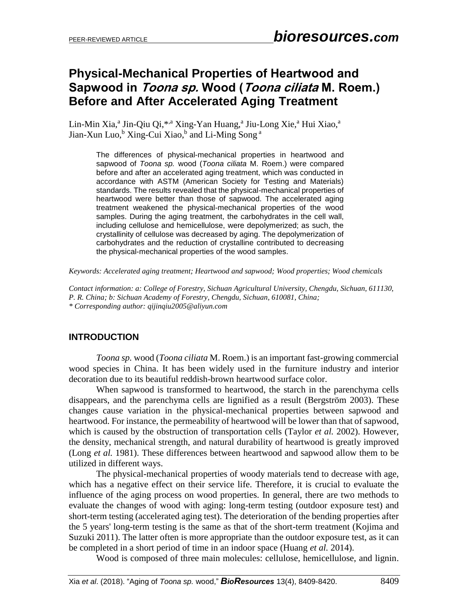# **Physical-Mechanical Properties of Heartwood and Sapwood in Toona sp. Wood (Toona ciliata M. Roem.) Before and After Accelerated Aging Treatment**

Lin-Min Xia,<sup>a</sup> Jin-Qiu Qi,<sup>\*,a</sup> Xing-Yan Huang,<sup>a</sup> Jiu-Long Xie,<sup>a</sup> Hui Xiao,<sup>a</sup> Jian-Xun Luo,<sup>b</sup> Xing-Cui Xiao,<sup>b</sup> and Li-Ming Song <sup>a</sup>

> The differences of physical-mechanical properties in heartwood and sapwood of *Toona sp.* wood (*Toona ciliata* M. Roem.) were compared before and after an accelerated aging treatment, which was conducted in accordance with ASTM (American Society for Testing and Materials) standards. The results revealed that the physical-mechanical properties of heartwood were better than those of sapwood. The accelerated aging treatment weakened the physical-mechanical properties of the wood samples. During the aging treatment, the carbohydrates in the cell wall, including cellulose and hemicellulose, were depolymerized; as such, the crystallinity of cellulose was decreased by aging. The depolymerization of carbohydrates and the reduction of crystalline contributed to decreasing the physical-mechanical properties of the wood samples.

*Keywords: Accelerated aging treatment; Heartwood and sapwood; Wood properties; Wood chemicals* 

*Contact information: a: College of Forestry, Sichuan Agricultural University, Chengdu, Sichuan, 611130, P. R. China; b: Sichuan Academy of Forestry, Chengdu, Sichuan, 610081, China; \* Corresponding author: [qijinqiu2005@aliyun.com](mailto:qijinqiu2005@aliyun.com)*

# **INTRODUCTION**

*Toona sp.* wood (*Toona ciliata* M. Roem.) is an important fast-growing commercial wood species in China. It has been widely used in the furniture industry and interior decoration due to its beautiful reddish-brown heartwood surface color.

When sapwood is transformed to heartwood, the starch in the parenchyma cells disappears, and the parenchyma cells are lignified as a result (Bergström 2003). These changes cause variation in the physical-mechanical properties between sapwood and heartwood. For instance, the permeability of heartwood will be lower than that of sapwood, which is caused by the obstruction of transportation cells (Taylor *et al.* 2002). However, the density, mechanical strength, and natural durability of heartwood is greatly improved (Long *et al.* 1981). These differences between heartwood and sapwood allow them to be utilized in different ways.

The physical-mechanical properties of woody materials tend to decrease with age, which has a negative effect on their service life. Therefore, it is crucial to evaluate the influence of the aging process on wood properties. In general, there are two methods to evaluate the changes of wood with aging: long-term testing (outdoor exposure test) and short-term testing (accelerated aging test). The deterioration of the bending properties after the 5 years' long-term testing is the same as that of the short-term treatment (Kojima and Suzuki 2011). The latter often is more appropriate than the outdoor exposure test, as it can be completed in a short period of time in an indoor space (Huang *et al.* 2014).

Wood is composed of three main molecules: cellulose, hemicellulose, and lignin.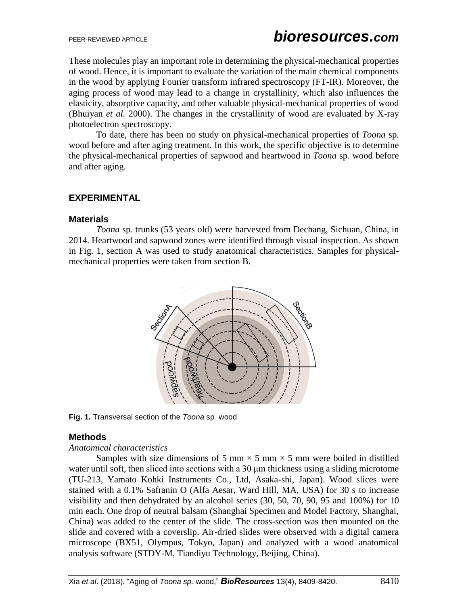These molecules play an important role in determining the physical-mechanical properties of wood. Hence, it is important to evaluate the variation of the main chemical components in the wood by applying Fourier transform infrared spectroscopy (FT-IR). Moreover, the aging process of wood may lead to a change in crystallinity, which also influences the elasticity, absorptive capacity, and other valuable physical-mechanical properties of wood (Bhuiyan *et al.* 2000). The changes in the crystallinity of wood are evaluated by X-ray photoelectron spectroscopy.

To date, there has been no study on physical-mechanical properties of *Toona* sp*.*  wood before and after aging treatment. In this work, the specific objective is to determine the physical-mechanical properties of sapwood and heartwood in *Toona* sp*.* wood before and after aging.

## **EXPERIMENTAL**

#### **Materials**

*Toona* sp*.* trunks (53 years old) were harvested from Dechang, Sichuan, China, in 2014. Heartwood and sapwood zones were identified through visual inspection. As shown in Fig. 1, section A was used to study anatomical characteristics. Samples for physicalmechanical properties were taken from section B.



**Fig. 1.** Transversal section of the *Toona* sp*.* wood

## **Methods**

#### *Anatomical characteristics*

Samples with size dimensions of 5 mm  $\times$  5 mm  $\times$  5 mm were boiled in distilled water until soft, then sliced into sections with a 30 μm thickness using a sliding microtome (TU-213, Yamato Kohki Instruments Co., Ltd, Asaka-shi, Japan). Wood slices were stained with a 0.1% Safranin O (Alfa Aesar, Ward Hill, MA, USA) for 30 s to increase visibility and then dehydrated by an alcohol series (30, 50, 70, 90, 95 and 100%) for 10 min each. One drop of neutral balsam (Shanghai Specimen and Model Factory, Shanghai, China) was added to the center of the slide. The cross-section was then mounted on the slide and covered with a coverslip. Air-dried slides were observed with a digital camera microscope (BX51, Olympus, Tokyo, Japan) and analyzed with a wood anatomical analysis software (STDY-M, Tiandiyu Technology, Beijing, China).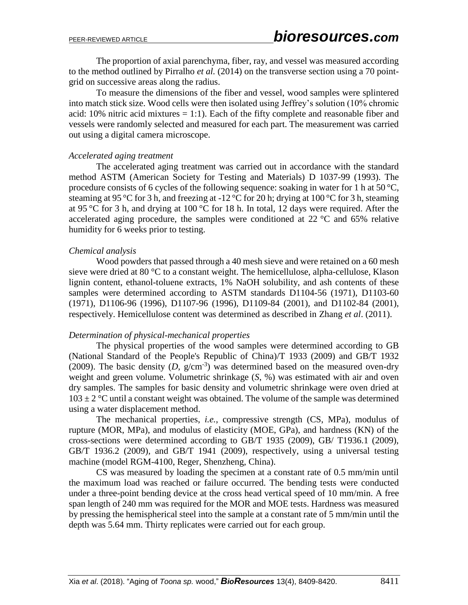The proportion of axial parenchyma, fiber, ray, and vessel was measured according to the method outlined by Pirralho *et al.* (2014) on the transverse section using a 70 pointgrid on successive areas along the radius.

To measure the dimensions of the fiber and vessel, wood samples were splintered into match stick size. Wood cells were then isolated using Jeffrey's solution (10% chromic acid: 10% nitric acid mixtures  $= 1:1$ ). Each of the fifty complete and reasonable fiber and vessels were randomly selected and measured for each part. The measurement was carried out using a digital camera microscope.

#### *Accelerated aging treatment*

The accelerated aging treatment was carried out in accordance with the standard method ASTM (American Society for Testing and Materials) D 1037-99 (1993). The procedure consists of 6 cycles of the following sequence: soaking in water for 1 h at 50 °C, steaming at 95 °C for 3 h, and freezing at -12 °C for 20 h; drying at 100 °C for 3 h, steaming at 95 °C for 3 h, and drying at 100 °C for 18 h. In total, 12 days were required. After the accelerated aging procedure, the samples were conditioned at 22 °C and 65% relative humidity for 6 weeks prior to testing.

#### *Chemical analysis*

Wood powders that passed through a 40 mesh sieve and were retained on a 60 mesh sieve were dried at 80 °C to a constant weight. The hemicellulose, alpha-cellulose, Klason lignin content, ethanol-toluene extracts, 1% NaOH solubility, and ash contents of these samples were determined according to ASTM standards D1104-56 (1971), D1103-60 (1971), D1106-96 (1996), D1107-96 (1996), D1109-84 (2001), and D1102-84 (2001), respectively. Hemicellulose content was determined as described in Zhang *et al*. (2011).

#### *Determination of physical-mechanical properties*

The physical properties of the wood samples were determined according to GB (National Standard of the People's Republic of China)/T 1933 (2009) and GB/T 1932 (2009). The basic density  $(D, g/cm^{-3})$  was determined based on the measured oven-dry weight and green volume. Volumetric shrinkage (*S*, %) was estimated with air and oven dry samples. The samples for basic density and volumetric shrinkage were oven dried at  $103 \pm 2$  °C until a constant weight was obtained. The volume of the sample was determined using a water displacement method.

The mechanical properties, *i.e.*, compressive strength (CS, MPa), modulus of rupture (MOR, MPa), and modulus of elasticity (MOE, GPa), and hardness (KN) of the cross-sections were determined according to GB/T 1935 (2009), GB/ T1936.1 (2009), GB/T 1936.2 (2009), and GB/T 1941 (2009), respectively, using a universal testing machine (model RGM-4100, Reger, Shenzheng, China).

CS was measured by loading the specimen at a constant rate of 0.5 mm/min until the maximum load was reached or failure occurred. The bending tests were conducted under a three-point bending device at the cross head vertical speed of 10 mm/min. A free span length of 240 mm was required for the MOR and MOE tests. Hardness was measured by pressing the hemispherical steel into the sample at a constant rate of 5 mm/min until the depth was 5.64 mm. Thirty replicates were carried out for each group.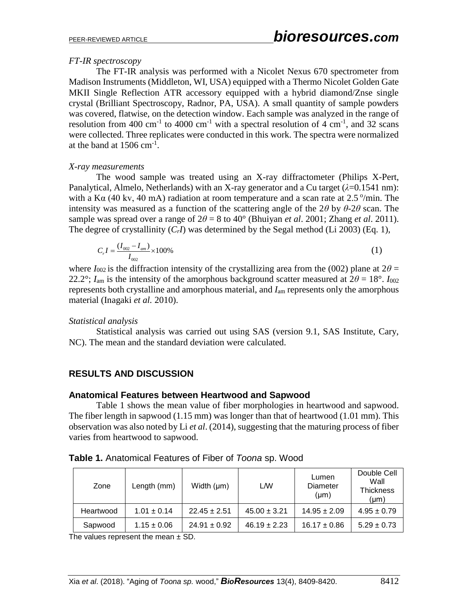#### *FT-IR spectroscopy*

The FT-IR analysis was performed with a Nicolet Nexus 670 spectrometer from Madison Instruments (Middleton, WI, USA) equipped with a Thermo Nicolet Golden Gate MKII Single Reflection ATR accessory equipped with a hybrid diamond/Znse single crystal (Brilliant Spectroscopy, Radnor, PA, USA). A small quantity of sample powders was covered, flatwise, on the detection window. Each sample was analyzed in the range of resolution from 400 cm<sup>-1</sup> to 4000 cm<sup>-1</sup> with a spectral resolution of 4 cm<sup>-1</sup>, and 32 scans were collected. Three replicates were conducted in this work. The spectra were normalized at the band at  $1506 \text{ cm}^{-1}$ .

#### *X-ray measurements*

The wood sample was treated using an X-ray diffractometer (Philips X-Pert, Panalytical, Almelo, Netherlands) with an X-ray generator and a Cu target (*λ*=0.1541 nm): with a K $\alpha$  (40 kv, 40 mA) radiation at room temperature and a scan rate at 2.5 °/min. The intensity was measured as a function of the scattering angle of the 2*θ* by *θ*-2*θ* scan. The sample was spread over a range of  $2\theta = 8$  to 40° (Bhuiyan *et al.* 2001; Zhang *et al.* 2011). The degree of crystallinity  $(C<sub>r</sub>I)$  was determined by the Segal method (Li 2003) (Eq. 1),

$$
C_r I = \frac{(I_{002} - I_{am})}{I_{002}} \times 100\%
$$
 (1)

where  $I_{002}$  is the diffraction intensity of the crystallizing area from the (002) plane at  $2\theta =$ 22.2°;  $I_{\text{am}}$  is the intensity of the amorphous background scatter measured at  $2\theta = 18^\circ$ .  $I_{002}$ represents both crystalline and amorphous material, and *I*am represents only the amorphous material (Inagaki *et al.* 2010).

#### *Statistical analysis*

Statistical analysis was carried out using SAS (version 9.1, SAS Institute, Cary, NC). The mean and the standard deviation were calculated.

# **RESULTS AND DISCUSSION**

#### **Anatomical Features between Heartwood and Sapwood**

Table 1 shows the mean value of fiber morphologies in heartwood and sapwood. The fiber length in sapwood (1.15 mm) was longer than that of heartwood (1.01 mm). This observation was also noted by Li *et al*. (2014), suggesting that the maturing process of fiber varies from heartwood to sapwood.

| Zone      | Length (mm)     | Width $(\mu m)$  | LW               | Lumen<br>Diameter<br>$(\mu m)$ | Double Cell<br>Wall<br>Thickness<br>$(\mu m)$ |
|-----------|-----------------|------------------|------------------|--------------------------------|-----------------------------------------------|
| Heartwood | $1.01 \pm 0.14$ | $22.45 \pm 2.51$ | $45.00 \pm 3.21$ | $14.95 \pm 2.09$               | $4.95 \pm 0.79$                               |
| Sapwood   | $1.15 \pm 0.06$ | $24.91 \pm 0.92$ | $46.19 \pm 2.23$ | $16.17 \pm 0.86$               | $5.29 \pm 0.73$                               |

**Table 1.** Anatomical Features of Fiber of *Toona* sp. Wood

The values represent the mean  $\pm$  SD.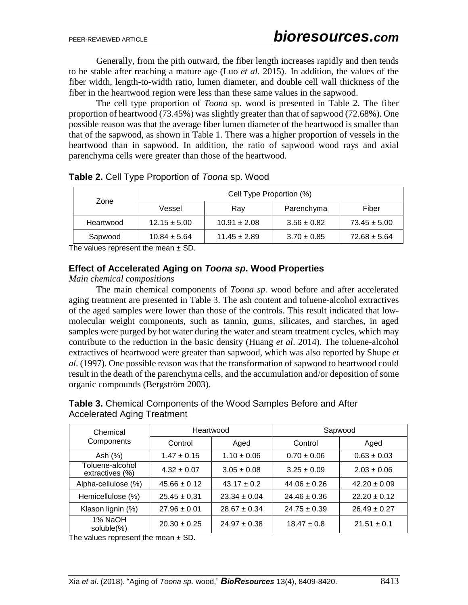Generally, from the pith outward, the fiber length increases rapidly and then tends to be stable after reaching a mature age (Luo *et al.* 2015). In addition, the values of the fiber width, length-to-width ratio, lumen diameter, and double cell wall thickness of the fiber in the heartwood region were less than these same values in the sapwood.

The cell type proportion of *Toona* sp. wood is presented in Table 2. The fiber proportion of heartwood (73.45%) was slightly greater than that of sapwood (72.68%). One possible reason was that the average fiber lumen diameter of the heartwood is smaller than that of the sapwood, as shown in Table 1. There was a higher proportion of vessels in the heartwood than in sapwood. In addition, the ratio of sapwood wood rays and axial parenchyma cells were greater than those of the heartwood.

| Zone      | Cell Type Proportion (%) |                  |                 |                  |  |
|-----------|--------------------------|------------------|-----------------|------------------|--|
|           | Vessel                   | Ray              | Parenchyma      | Fiber            |  |
| Heartwood | $12.15 \pm 5.00$         | $10.91 \pm 2.08$ | $3.56 \pm 0.82$ | $73.45 \pm 5.00$ |  |
| Sapwood   | $10.84 \pm 5.64$         | $11.45 \pm 2.89$ | $3.70 \pm 0.85$ | $72.68 \pm 5.64$ |  |

#### **Table 2.** Cell Type Proportion of *Toona* sp. Wood

The values represent the mean  $\pm$  SD.

#### **Effect of Accelerated Aging on** *Toona sp***. Wood Properties**

#### *Main chemical compositions*

The main chemical components of *Toona sp.* wood before and after accelerated aging treatment are presented in Table 3. The ash content and toluene-alcohol extractives of the aged samples were lower than those of the controls. This result indicated that lowmolecular weight components, such as tannin, gums, silicates, and starches, in aged samples were purged by hot water during the water and steam treatment cycles, which may contribute to the reduction in the basic density (Huang *et al*. 2014). The toluene-alcohol extractives of heartwood were greater than sapwood, which was also reported by Shupe *et al*. (1997). One possible reason was that the transformation of sapwood to heartwood could result in the death of the parenchyma cells, and the accumulation and/or deposition of some organic compounds (Bergström 2003).

## **Table 3.** Chemical Components of the Wood Samples Before and After Accelerated Aging Treatment

| Chemical                           | Heartwood        |                  | Sapwood          |                  |  |
|------------------------------------|------------------|------------------|------------------|------------------|--|
| Components                         | Control          | Aged             | Control          | Aged             |  |
| Ash (%)                            | $1.47 \pm 0.15$  | $1.10 \pm 0.06$  | $0.70 \pm 0.06$  | $0.63 \pm 0.03$  |  |
| Toluene-alcohol<br>extractives (%) | $4.32 \pm 0.07$  | $3.05 \pm 0.08$  | $3.25 \pm 0.09$  | $2.03 \pm 0.06$  |  |
| Alpha-cellulose (%)                | $45.66 \pm 0.12$ | $43.17 + 0.2$    | $44.06 \pm 0.26$ | $42.20 \pm 0.09$ |  |
| Hemicellulose (%)                  | $25.45 \pm 0.31$ | $23.34 \pm 0.04$ | $24.46 \pm 0.36$ | $22.20 \pm 0.12$ |  |
| Klason lignin (%)                  | $27.96 \pm 0.01$ | $28.67 \pm 0.34$ | $24.75 \pm 0.39$ | $26.49 \pm 0.27$ |  |
| 1% NaOH<br>soluble(%)              | $20.30 \pm 0.25$ | $24.97 \pm 0.38$ | $18.47 \pm 0.8$  | $21.51 \pm 0.1$  |  |

The values represent the mean  $\pm$  SD.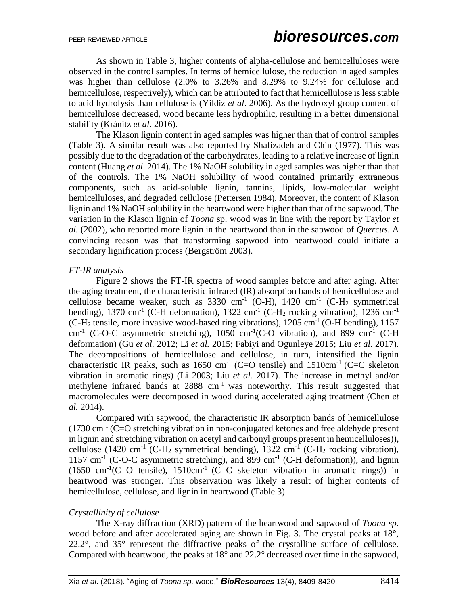As shown in Table 3, higher contents of alpha-cellulose and hemicelluloses were observed in the control samples. In terms of hemicellulose, the reduction in aged samples was higher than cellulose (2.0% to 3.26% and 8.29% to 9.24% for cellulose and hemicellulose, respectively), which can be attributed to fact that hemicellulose is less stable to acid hydrolysis than cellulose is (Yildiz *et al*. 2006). As the hydroxyl group content of hemicellulose decreased, wood became less hydrophilic, resulting in a better dimensional stability (Kránitz *et al*. 2016).

The Klason lignin content in aged samples was higher than that of control samples (Table 3). A similar result was also reported by Shafizadeh and Chin (1977). This was possibly due to the degradation of the carbohydrates, leading to a relative increase of lignin content (Huang *et al*. 2014). The 1% NaOH solubility in aged samples was higher than that of the controls. The 1% NaOH solubility of wood contained primarily extraneous components, such as acid-soluble lignin, tannins, lipids, low-molecular weight hemicelluloses, and degraded cellulose (Pettersen 1984). Moreover, the content of Klason lignin and 1% NaOH solubility in the heartwood were higher than that of the sapwood. The variation in the Klason lignin of *Toona* sp. wood was in line with the report by Taylor *et al.* (2002), who reported more lignin in the heartwood than in the sapwood of *Quercus*. A convincing reason was that transforming sapwood into heartwood could initiate a secondary lignification process (Bergström 2003).

## *FT-IR analysis*

Figure 2 shows the FT-IR spectra of wood samples before and after aging. After the aging treatment, the characteristic infrared (IR) absorption bands of hemicellulose and cellulose became weaker, such as  $3330 \text{ cm}^{-1}$  (O-H),  $1420 \text{ cm}^{-1}$  (C-H<sub>2</sub> symmetrical bending), 1370 cm<sup>-1</sup> (C-H deformation), 1322 cm<sup>-1</sup> (C-H<sub>2</sub> rocking vibration), 1236 cm<sup>-1</sup>  $(C-H<sub>2</sub> tensile, more invasive wood-based ring vibrations), 1205 cm<sup>-1</sup> (O-H bending), 1157$ cm<sup>-1</sup> (C-O-C asymmetric stretching), 1050 cm<sup>-1</sup>(C-O vibration), and 899 cm<sup>-1</sup> (C-H deformation) (Gu *et al.* 2012; Li *et al.* 2015; Fabiyi and Ogunleye 2015; Liu *et al.* 2017). The decompositions of hemicellulose and cellulose, in turn, intensified the lignin characteristic IR peaks, such as  $1650 \text{ cm}^{-1}$  (C=O tensile) and  $1510 \text{ cm}^{-1}$  (C=C skeleton vibration in aromatic rings) (Li 2003; Liu *et al.* 2017). The increase in methyl and/or methylene infrared bands at  $2888 \text{ cm}^{-1}$  was noteworthy. This result suggested that macromolecules were decomposed in wood during accelerated aging treatment (Chen *et al.* 2014).

Compared with sapwood, the characteristic IR absorption bands of hemicellulose  $(1730 \text{ cm}^{-1} \text{ (C=O stretching vibration in non-conjugated ketones and free aldehyde present})$ in lignin and stretching vibration on acetyl and carbonyl groups present in hemicelluloses)), cellulose (1420 cm<sup>-1</sup> (C-H<sub>2</sub> symmetrical bending), 1322 cm<sup>-1</sup> (C-H<sub>2</sub> rocking vibration), 1157 cm<sup>-1</sup> (C-O-C asymmetric stretching), and 899 cm<sup>-1</sup> (C-H deformation)), and lignin  $(1650 \text{ cm}^{-1}(\text{C}=O \text{tensile}), 1510 \text{cm}^{-1}(\text{C}=C \text{skeleton vibration in aromatic rings}))$  in heartwood was stronger. This observation was likely a result of higher contents of hemicellulose, cellulose, and lignin in heartwood (Table 3).

# *Crystallinity of cellulose*

The X-ray diffraction (XRD) pattern of the heartwood and sapwood of *Toona sp.* wood before and after accelerated aging are shown in Fig. 3. The crystal peaks at 18<sup>°</sup>, 22.2°, and 35° represent the diffractive peaks of the crystalline surface of cellulose. Compared with heartwood, the peaks at 18° and 22.2° decreased over time in the sapwood,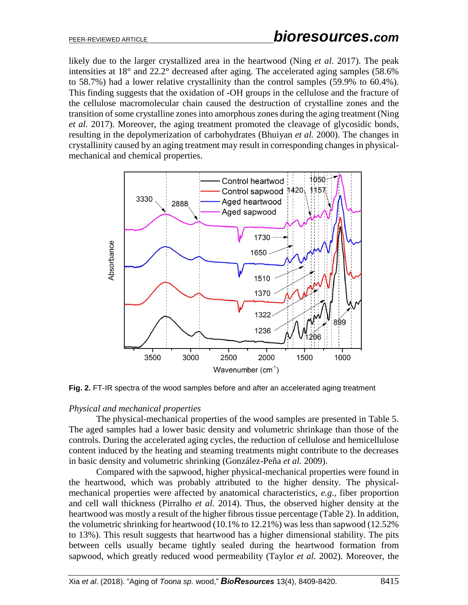likely due to the larger crystallized area in the heartwood (Ning *et al.* 2017). The peak intensities at 18° and 22.2° decreased after aging. The accelerated aging samples (58.6% to 58.7%) had a lower relative crystallinity than the control samples (59.9% to 60.4%). This finding suggests that the oxidation of -OH groups in the cellulose and the fracture of the cellulose macromolecular chain caused the destruction of crystalline zones and the transition of some crystalline zones into amorphous zones during the aging treatment (Ning *et al.* 2017). Moreover, the aging treatment promoted the cleavage of glycosidic bonds, resulting in the depolymerization of carbohydrates (Bhuiyan *et al.* 2000). The changes in crystallinity caused by an aging treatment may result in corresponding changes in physicalmechanical and chemical properties.



**Fig. 2.** FT-IR spectra of the wood samples before and after an accelerated aging treatment

#### *Physical and mechanical properties*

The physical-mechanical properties of the wood samples are presented in Table 5. The aged samples had a lower basic density and volumetric shrinkage than those of the controls. During the accelerated aging cycles, the reduction of cellulose and hemicellulose content induced by the heating and steaming treatments might contribute to the decreases in basic density and volumetric shrinking (González-Peña *et al.* 2009).

Compared with the sapwood, higher physical-mechanical properties were found in the heartwood, which was probably attributed to the higher density. The physicalmechanical properties were affected by anatomical characteristics, *e.g*., fiber proportion and cell wall thickness (Pirralho *et al.* 2014). Thus, the observed higher density at the heartwood was mostly a result of the higher fibrous tissue percentage (Table 2). In addition, the volumetric shrinking for heartwood (10.1% to 12.21%) was less than sapwood (12.52% to 13%). This result suggests that heartwood has a higher dimensional stability. The pits between cells usually became tightly sealed during the heartwood formation from sapwood, which greatly reduced wood permeability (Taylor *et al.* 2002). Moreover, the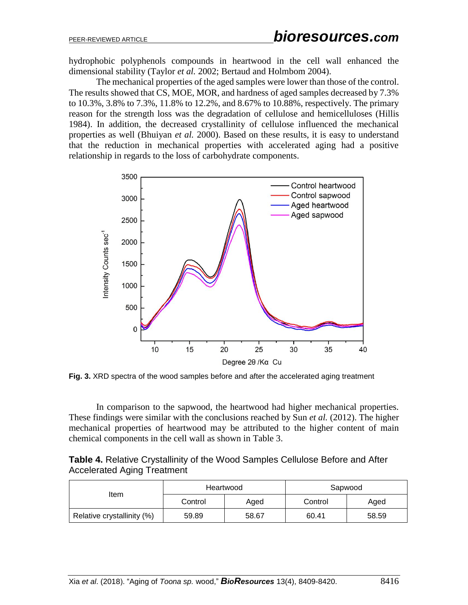hydrophobic polyphenols compounds in heartwood in the cell wall enhanced the dimensional stability (Taylor *et al.* 2002; Bertaud and Holmbom 2004).

The mechanical properties of the aged samples were lower than those of the control. The results showed that CS, MOE, MOR, and hardness of aged samples decreased by 7.3% to 10.3%, 3.8% to 7.3%, 11.8% to 12.2%, and 8.67% to 10.88%, respectively. The primary reason for the strength loss was the degradation of cellulose and hemicelluloses (Hillis 1984). In addition, the decreased crystallinity of cellulose influenced the mechanical properties as well (Bhuiyan *et al.* 2000). Based on these results, it is easy to understand that the reduction in mechanical properties with accelerated aging had a positive relationship in regards to the loss of carbohydrate components.



**Fig. 3.** XRD spectra of the wood samples before and after the accelerated aging treatment

In comparison to the sapwood, the heartwood had higher mechanical properties. These findings were similar with the conclusions reached by Sun *et al.* (2012). The higher mechanical properties of heartwood may be attributed to the higher content of main chemical components in the cell wall as shown in Table 3.

| <b>Table 4.</b> Relative Crystallinity of the Wood Samples Cellulose Before and After |  |
|---------------------------------------------------------------------------------------|--|
| <b>Accelerated Aging Treatment</b>                                                    |  |

|                            | Heartwood |       | Sapwood |       |
|----------------------------|-----------|-------|---------|-------|
| ltem                       | Control   | Aged  | Control | Aged  |
| Relative crystallinity (%) | 59.89     | 58.67 | 60.41   | 58.59 |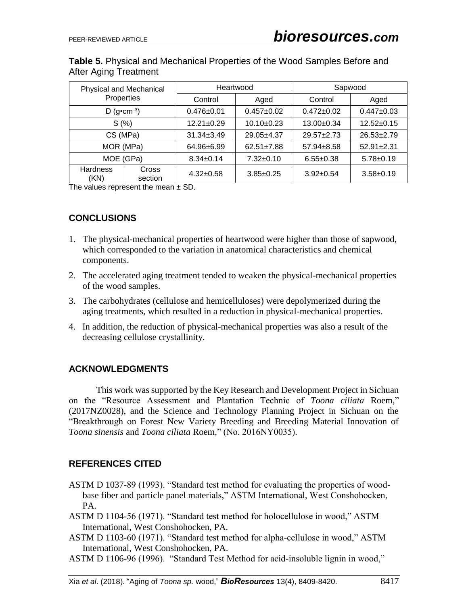**Table 5.** Physical and Mechanical Properties of the Wood Samples Before and After Aging Treatment

| Physical and Mechanical<br>Properties |                  | Heartwood        |                  | Sapwood          |                  |
|---------------------------------------|------------------|------------------|------------------|------------------|------------------|
|                                       |                  | Control          | Aged             | Control          | Aged             |
| D (g•cm $-3$ )                        |                  | $0.476 \pm 0.01$ | $0.457+0.02$     | $0.472 \pm 0.02$ | $0.447 \pm 0.03$ |
| S(%)                                  |                  | $12.21 \pm 0.29$ | $10.10+0.23$     | $13.00 \pm 0.34$ | $12.52 \pm 0.15$ |
| CS (MPa)                              |                  | $31.34 \pm 3.49$ | $29.05 + 4.37$   | $29.57 + 2.73$   | $26.53 \pm 2.79$ |
| MOR (MPa)                             |                  | 64.96±6.99       | $62.51 \pm 7.88$ | $57.94 \pm 8.58$ | $52.91 \pm 2.31$ |
| MOE (GPa)                             |                  | $8.34 \pm 0.14$  | $7.32 \pm 0.10$  | $6.55 \pm 0.38$  | $5.78 \pm 0.19$  |
| <b>Hardness</b><br>(KN)               | Cross<br>section | $4.32 \pm 0.58$  | $3.85 \pm 0.25$  | $3.92 \pm 0.54$  | $3.58 \pm 0.19$  |

The values represent the mean  $\pm$  SD.

## **CONCLUSIONS**

- 1. The physical-mechanical properties of heartwood were higher than those of sapwood, which corresponded to the variation in anatomical characteristics and chemical components.
- 2. The accelerated aging treatment tended to weaken the physical-mechanical properties of the wood samples.
- 3. The carbohydrates (cellulose and hemicelluloses) were depolymerized during the aging treatments, which resulted in a reduction in physical-mechanical properties.
- 4. In addition, the reduction of physical-mechanical properties was also a result of the decreasing cellulose crystallinity.

## **ACKNOWLEDGMENTS**

This work was supported by the Key Research and Development Project in Sichuan on the "Resource Assessment and Plantation Technic of *Toona ciliata* Roem," (2017NZ0028), and the Science and Technology Planning Project in Sichuan on the "Breakthrough on Forest New Variety Breeding and Breeding Material Innovation of *Toona sinensis* and *Toona ciliata* Roem," (No. 2016NY0035).

# **REFERENCES CITED**

- ASTM D 1037-89 (1993). "Standard test method for evaluating the properties of woodbase fiber and particle panel materials," ASTM International, West Conshohocken, PA.
- ASTM D 1104-56 (1971). "Standard test method for holocellulose in wood," ASTM International, West Conshohocken, PA.
- ASTM D 1103-60 (1971). "Standard test method for alpha-cellulose in wood," ASTM International, West Conshohocken, PA.
- ASTM D 1106-96 (1996). "Standard Test Method for acid-insoluble lignin in wood,"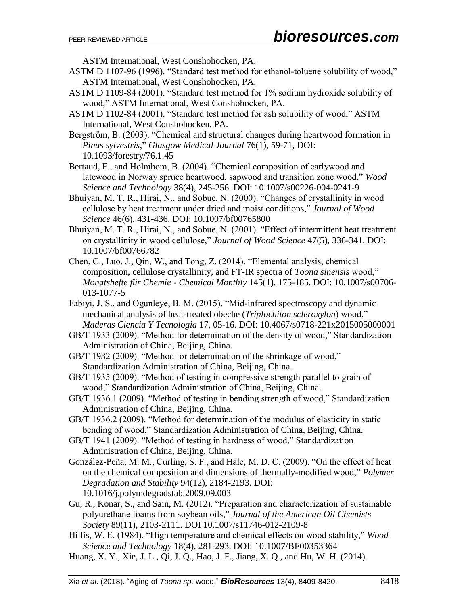ASTM International, West Conshohocken, PA.

- ASTM D 1107-96 (1996). "Standard test method for ethanol-toluene solubility of wood," ASTM International, West Conshohocken, PA.
- ASTM D 1109-84 (2001). "Standard test method for 1% sodium hydroxide solubility of wood," ASTM International, West Conshohocken, PA.
- ASTM D 1102-84 (2001). "Standard test method for ash solubility of wood," ASTM International, West Conshohocken, PA.
- Bergström, B. (2003). "Chemical and structural changes during heartwood formation in *Pinus sylvestris*," *Glasgow Medical Journal* 76(1), 59-71, DOI: [10.1093/forestry/76.1.45](https://doi.org/10.1093/forestry/76.1.45)
- Bertaud, F., and Holmbom, B. (2004). "Chemical composition of earlywood and latewood in Norway spruce heartwood, sapwood and transition zone wood," *Wood Science and Technology* 38(4), 245-256. DOI: [10.1007/s00226-004-0241-9](https://doi.org/10.1007/s00226-004-0241-9)
- Bhuiyan, M. T. R., Hirai, N., and Sobue, N. (2000). "Changes of crystallinity in wood cellulose by heat treatment under dried and moist conditions," *Journal of Wood Science* 46(6), 431-436. DOI: [10.1007/bf00765800](https://doi.org/10.1007/bf00765800)
- Bhuiyan, M. T. R., Hirai, N., and Sobue, N. (2001). "Effect of intermittent heat treatment on crystallinity in wood cellulose," *Journal of Wood Science* 47(5), 336-341. DOI: [10.1007/bf00766782](https://doi.org/10.1007/bf00766782)
- Chen, C., Luo, J., Qin, W., and Tong, Z. (2014). "Elemental analysis, chemical composition, cellulose crystallinity, and FT-IR spectra of *Toona sinensis* wood," *Monatshefte für Chemie - Chemical Monthly* 145(1), 175-185. DOI: [10.1007/s00706-](https://doi.org/10.1007/s00706-013-1077-5) [013-1077-5](https://doi.org/10.1007/s00706-013-1077-5)
- Fabiyi, J. S., and Ogunleye, B. M. (2015). "Mid-infrared spectroscopy and dynamic mechanical analysis of heat-treated obeche (*Triplochiton scleroxylon*) wood," *Maderas Ciencia Y Tecnologia* 17, 05-16. DOI: [10.4067/s0718-221x2015005000001](https://doi.org/10.4067/s0718-221x2015005000001)
- GB/T 1933 (2009). "Method for determination of the density of wood," Standardization Administration of China, Beijing, China.
- GB/T 1932 (2009). "Method for determination of the shrinkage of wood," Standardization Administration of China, Beijing, China.
- GB/T 1935 (2009). "Method of testing in compressive strength parallel to grain of wood," Standardization Administration of China, Beijing, China.
- GB/T 1936.1 (2009). "Method of testing in bending strength of wood," Standardization Administration of China, Beijing, China.
- GB/T 1936.2 (2009). "Method for determination of the modulus of elasticity in static bending of wood," Standardization Administration of China, Beijing, China.
- GB/T 1941 (2009). "Method of testing in hardness of wood," Standardization Administration of China, Beijing, China.
- González-Peña, M. M., Curling, S. F., and Hale, M. D. C. (2009). "On the effect of heat on the chemical composition and dimensions of thermally-modified wood," *Polymer Degradation and Stability* 94(12), 2184-2193. DOI: [10.1016/j.polymdegradstab.2009.09.003](https://doi.org/10.1016/j.polymdegradstab.2009.09.003)
- Gu, R., Konar, S., and Sain, M. (2012). "Preparation and characterization of sustainable polyurethane foams from soybean oils," *Journal of the American Oil Chemists Society* 89(11), 2103-2111. DOI [10.1007/s11746-012-2109-8](https://doi.org/10.1007/s11746-012-2109-8)
- Hillis, W. E. (1984). "High temperature and chemical effects on wood stability," *Wood Science and Technology* 18(4), 281-293. DOI: 10.1007/BF00353364
- Huang, X. Y., Xie, J. L., Qi, J. Q., Hao, J. F., Jiang, X. Q., and Hu, W. H. (2014).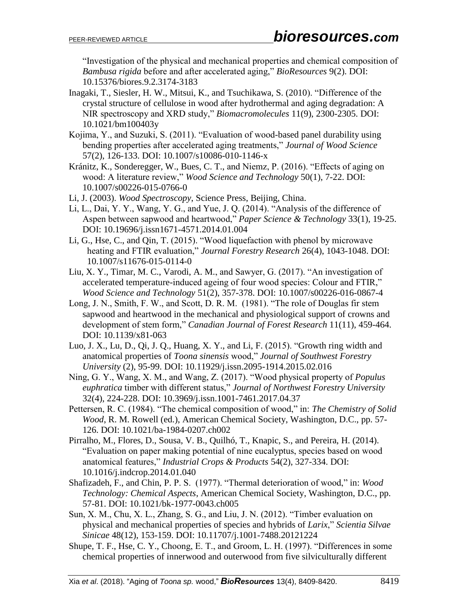"Investigation of the physical and mechanical properties and chemical composition of *Bambusa rigida* before and after accelerated aging," *BioResources* 9(2). DOI: 10.15376/biores.9.2.3174-3183

- Inagaki, T., Siesler, H. W., Mitsui, K., and Tsuchikawa, S. (2010). "Difference of the crystal structure of cellulose in wood after hydrothermal and aging degradation: A NIR spectroscopy and XRD study," *Biomacromolecules* 11(9), 2300-2305. DOI: 10.1021/bm100403y
- Kojima, Y., and Suzuki, S. (2011). "Evaluation of wood-based panel durability using bending properties after accelerated aging treatments," *Journal of Wood Science*  57(2), 126-133. DOI: [10.1007/s10086-010-1146-x](https://doi.org/10.1007/s10086-010-1146-x)
- Kránitz, K., Sonderegger, W., Bues, C. T., and Niemz, P. (2016). "Effects of aging on wood: A literature review," *Wood Science and Technology* 50(1), 7-22. DOI: [10.1007/s00226-015-0766-0](https://doi.org/10.1007/s00226-015-0766-0)
- Li, J. (2003). *Wood Spectroscopy*, Science Press, Beijing, China.
- Li, L., Dai, Y. Y., Wang, Y. G., and Yue, J. Q. (2014). "Analysis of the difference of Aspen between sapwood and heartwood," *Paper Science & Technology* 33(1), 19-25. DOI: 10.19696/j.issn1671-4571.2014.01.004
- Li, G., Hse, C., and Qin, T. (2015). "Wood liquefaction with phenol by microwave heating and FTIR evaluation," *Journal Forestry Research* 26(4), 1043-1048. DOI: [10.1007/s11676-015-0114-0](https://doi.org/10.1007/s11676-015-0114-0)
- Liu, X. Y., Timar, M. C., Varodi, A. M., and Sawyer, G. (2017). "An investigation of accelerated temperature-induced ageing of four wood species: Colour and FTIR," *Wood Science and Technology* 51(2), 357-378. DOI: [10.1007/s00226-016-0867-4](https://doi.org/10.1007/s00226-016-0867-4)
- Long, J. N., Smith, F. W., and Scott, D. R. M. (1981). "The role of Douglas fir stem sapwood and heartwood in the mechanical and physiological support of crowns and development of stem form," *Canadian Journal of Forest Research* 11(11), 459-464. DOI: [10.1139/x81-063](https://doi.org/10.1139/x81-063)
- Luo, J. X., Lu, D., Qi, J. Q., Huang, X. Y., and Li, F. (2015). "Growth ring width and anatomical properties of *Toona sinensis* wood," *Journal of Southwest Forestry University* (2), 95-99. DOI: 10.11929/j.issn.2095-1914.2015.02.016
- Ning, G. Y., Wang, X. M., and Wang, Z. (2017). "Wood physical property of *Populus euphratica* timber with different status," *Journal of Northwest Forestry University* 32(4), 224-228. DOI: 10.3969/j.issn.1001-7461.2017.04.37
- Pettersen, R. C. (1984). "The chemical composition of wood," in: *The Chemistry of Solid Wood*, R. M. Rowell (ed.), American Chemical Society, Washington, D.C., pp. 57- 126. [DOI: 10.1021/ba-1984-0207.ch002](http://dx.doi.org/10.1021/ba-1984-0207.ch002)
- Pirralho, M., Flores, D., Sousa, V. B., Quilhó, T., Knapic, S., and Pereira, H. (2014). "Evaluation on paper making potential of nine eucalyptus, species based on wood anatomical features," *Industrial Crops & Products* 54(2), 327-334. DOI: [10.1016/j.indcrop.2014.01.040](https://doi.org/10.1016/j.indcrop.2014.01.040)
- Shafizadeh, F., and Chin, P. P. S. (1977). "Thermal deterioration of wood," in: *Wood Technology: Chemical Aspects*, American Chemical Society, Washington, D.C., pp. 57-81. [DOI: 10.1021/bk-1977-0043.ch005](http://dx.doi.org/10.1021/bk-1977-0043.ch005)
- Sun, X. M., Chu, X. L., Zhang, S. G., and Liu, J. N. (2012). "Timber evaluation on physical and mechanical properties of species and hybrids of *Larix*," *Scientia Silvae Sinicae* 48(12), 153-159. DOI: 10.11707/j.1001-7488.20121224
- Shupe, T. F., Hse, C. Y., Choong, E. T., and Groom, L. H. (1997). "Differences in some chemical properties of innerwood and outerwood from five silviculturally different